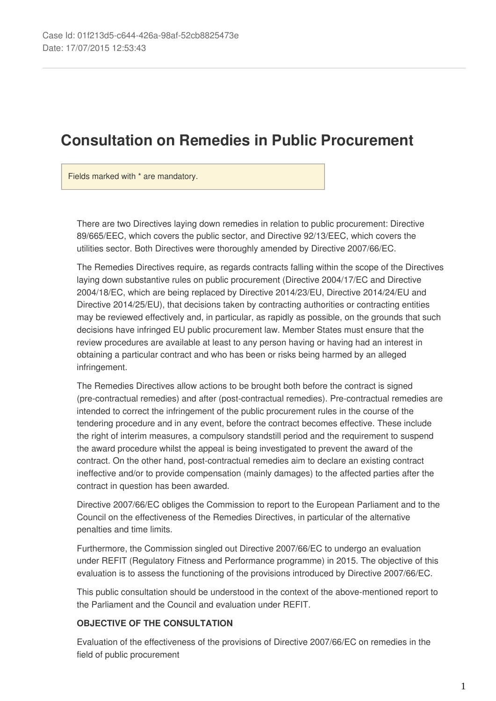# **Consultation on Remedies in Public Procurement**

Fields marked with \* are mandatory.

There are two Directives laying down remedies in relation to public procurement: Directive 89/665/EEC, which covers the public sector, and Directive 92/13/EEC, which covers the utilities sector. Both Directives were thoroughly amended by Directive 2007/66/EC.

The Remedies Directives require, as regards contracts falling within the scope of the Directives laying down substantive rules on public procurement (Directive 2004/17/EC and Directive 2004/18/EC, which are being replaced by Directive 2014/23/EU, Directive 2014/24/EU and Directive 2014/25/EU), that decisions taken by contracting authorities or contracting entities may be reviewed effectively and, in particular, as rapidly as possible, on the grounds that such decisions have infringed EU public procurement law. Member States must ensure that the review procedures are available at least to any person having or having had an interest in obtaining a particular contract and who has been or risks being harmed by an alleged infringement.

The Remedies Directives allow actions to be brought both before the contract is signed (pre-contractual remedies) and after (post-contractual remedies). Pre-contractual remedies are intended to correct the infringement of the public procurement rules in the course of the tendering procedure and in any event, before the contract becomes effective. These include the right of interim measures, a compulsory standstill period and the requirement to suspend the award procedure whilst the appeal is being investigated to prevent the award of the contract. On the other hand, post-contractual remedies aim to declare an existing contract ineffective and/or to provide compensation (mainly damages) to the affected parties after the contract in question has been awarded.

Directive 2007/66/EC obliges the Commission to report to the European Parliament and to the Council on the effectiveness of the Remedies Directives, in particular of the alternative penalties and time limits.

Furthermore, the Commission singled out Directive 2007/66/EC to undergo an evaluation under REFIT (Regulatory Fitness and Performance programme) in 2015. The objective of this evaluation is to assess the functioning of the provisions introduced by Directive 2007/66/EC.

This public consultation should be understood in the context of the above-mentioned report to the Parliament and the Council and evaluation under REFIT.

## **OBJECTIVE OF THE CONSULTATION**

Evaluation of the effectiveness of the provisions of Directive 2007/66/EC on remedies in the field of public procurement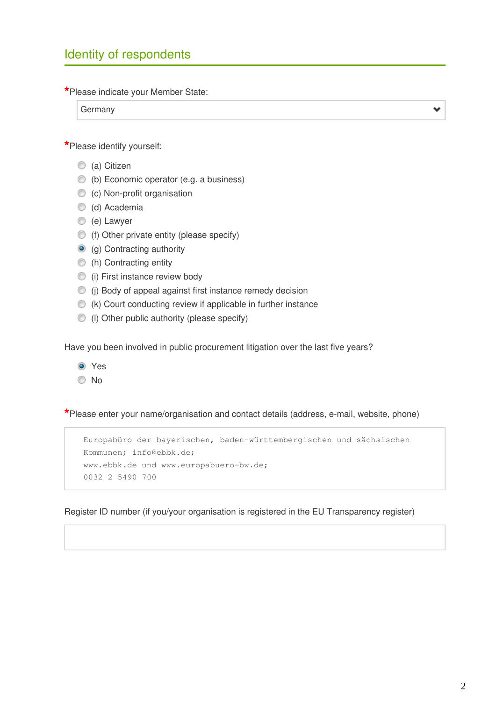## Identity of respondents

**\***Please indicate your Member State:

Germany

**\***Please identify yourself:

- C (a) Citizen
- (b) Economic operator (e.g. a business)
- (c) Non-profit organisation
- c (d) Academia
- (e) Lawyer
- (f) Other private entity (please specify)
- **(g)** Contracting authority
- (h) Contracting entity
- **(i)** First instance review body
- (j) Body of appeal against first instance remedy decision
- $($   $(k)$  Court conducting review if applicable in further instance
- (l) Other public authority (please specify)

Have you been involved in public procurement litigation over the last five years?

Yes No

**\***Please enter your name/organisation and contact details (address, e-mail, website, phone)

Europabüro der bayerischen, baden-württembergischen und sächsischen Kommunen; info@ebbk.de; www.ebbk.de und www.europabuero-bw.de; 0032 2 5490 700

Register ID number (if you/your organisation is registered in the EU Transparency register)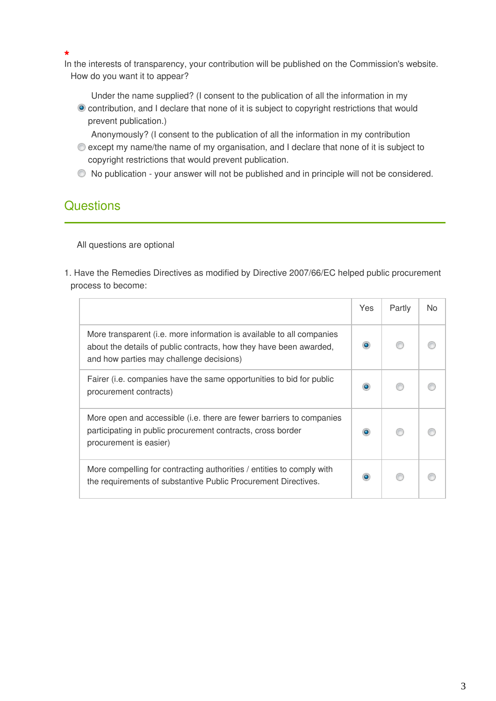**\*** In the interests of transparency, your contribution will be published on the Commission's website. How do you want it to appear?

Under the name supplied? (I consent to the publication of all the information in my contribution, and I declare that none of it is subject to copyright restrictions that would prevent publication.)

Anonymously? (I consent to the publication of all the information in my contribution

- except my name/the name of my organisation, and I declare that none of it is subject to copyright restrictions that would prevent publication.
- No publication your answer will not be published and in principle will not be considered.

## **Questions**

All questions are optional

1. Have the Remedies Directives as modified by Directive 2007/66/EC helped public procurement process to become:

|                                                                                                                                                                                         | Yes | Partly | <b>No</b> |
|-----------------------------------------------------------------------------------------------------------------------------------------------------------------------------------------|-----|--------|-----------|
| More transparent (i.e. more information is available to all companies<br>about the details of public contracts, how they have been awarded,<br>and how parties may challenge decisions) |     |        |           |
| Fairer (i.e. companies have the same opportunities to bid for public<br>procurement contracts)                                                                                          |     |        |           |
| More open and accessible (i.e. there are fewer barriers to companies<br>participating in public procurement contracts, cross border<br>procurement is easier)                           |     |        |           |
| More compelling for contracting authorities / entities to comply with<br>the requirements of substantive Public Procurement Directives.                                                 |     |        |           |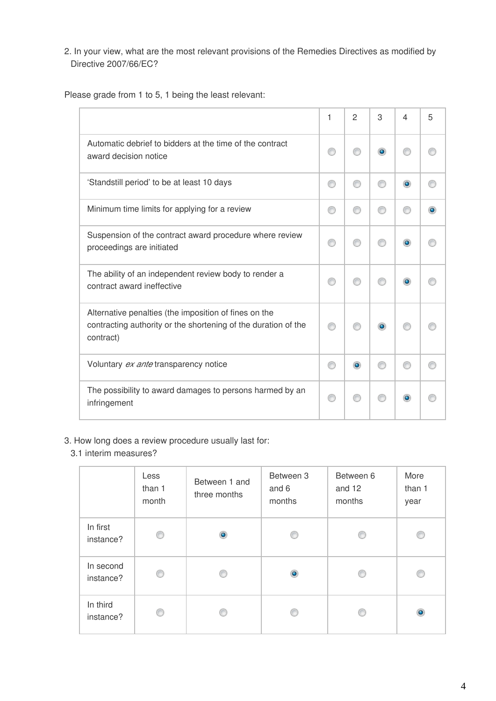2. In your view, what are the most relevant provisions of the Remedies Directives as modified by Directive 2007/66/EC?

Please grade from 1 to 5, 1 being the least relevant:

|                                                                                                                                      | 1 | $\overline{c}$ | 3         | 4 | 5 |
|--------------------------------------------------------------------------------------------------------------------------------------|---|----------------|-----------|---|---|
| Automatic debrief to bidders at the time of the contract<br>award decision notice                                                    |   |                | $\bullet$ |   |   |
| 'Standstill period' to be at least 10 days                                                                                           | ⋒ |                |           |   |   |
| Minimum time limits for applying for a review                                                                                        |   |                |           |   |   |
| Suspension of the contract award procedure where review<br>proceedings are initiated                                                 |   |                |           |   |   |
| The ability of an independent review body to render a<br>contract award ineffective                                                  |   |                |           |   |   |
| Alternative penalties (the imposition of fines on the<br>contracting authority or the shortening of the duration of the<br>contract) |   |                |           |   |   |
| Voluntary ex ante transparency notice                                                                                                |   |                |           |   |   |
| The possibility to award damages to persons harmed by an<br>infringement                                                             |   |                |           |   |   |

- 3. How long does a review procedure usually last for:
	- 3.1 interim measures?

|                        | Less<br>than 1<br>month | Between 1 and<br>three months | Between 3<br>and 6<br>months | Between 6<br>and 12<br>months | More<br>than 1<br>year |
|------------------------|-------------------------|-------------------------------|------------------------------|-------------------------------|------------------------|
| In first<br>instance?  | ⊙                       | ۵                             | ⋒                            | ⋒                             | ß                      |
| In second<br>instance? | ⋒                       |                               | ۰                            |                               |                        |
| In third<br>instance?  | ∩                       |                               |                              |                               | $\bullet$              |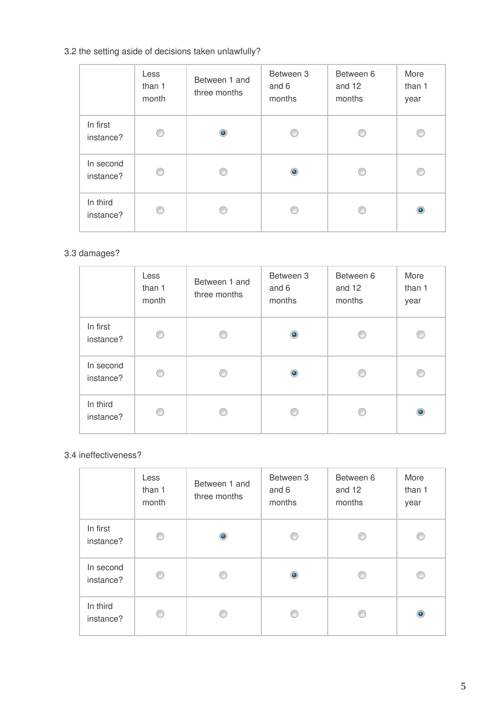## 3.2 the setting aside of decisions taken unlawfully?

|                        | Less<br>than 1<br>month | Between 1 and<br>three months | Between 3<br>and 6<br>months | Between 6<br>and 12<br>months | More<br>than 1<br>year |
|------------------------|-------------------------|-------------------------------|------------------------------|-------------------------------|------------------------|
| In first<br>instance?  | ⊙                       | ۵                             | œ                            | ß                             | ⋒                      |
| In second<br>instance? | ⊙                       |                               | ۰                            |                               |                        |
| In third<br>instance?  | €                       |                               |                              |                               | ۰                      |

## 3.3 damages?

|                        | Less<br>than 1<br>month | Between 1 and<br>three months | Between 3<br>and 6<br>months | Between 6<br>and 12<br>months | More<br>than 1<br>year |
|------------------------|-------------------------|-------------------------------|------------------------------|-------------------------------|------------------------|
| In first<br>instance?  | ⊙                       |                               | $\bullet$                    |                               | ⋒                      |
| In second<br>instance? | ⊙                       |                               | ۰                            |                               | ⋒                      |
| In third<br>instance?  | ◎                       |                               |                              |                               | ۰                      |

### 3.4 ineffectiveness?

|                        | Less<br>than 1<br>month | Between 1 and<br>three months | Between 3<br>and 6<br>months | Between 6<br>and 12<br>months | More<br>than 1<br>year |
|------------------------|-------------------------|-------------------------------|------------------------------|-------------------------------|------------------------|
| In first<br>instance?  | ⊙                       | ۰                             | ⋒                            |                               | ⋒                      |
| In second<br>instance? | ⊙                       |                               | ۱                            |                               |                        |
| In third<br>instance?  | ⋒                       |                               | œ                            |                               | ۱                      |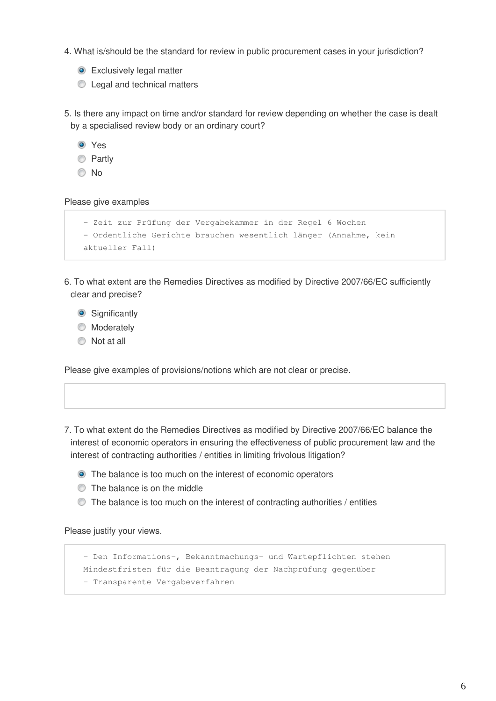- 4. What is/should be the standard for review in public procurement cases in your jurisdiction?
	- **Exclusively legal matter**
	- **C** Legal and technical matters

5. Is there any impact on time and/or standard for review depending on whether the case is dealt by a specialised review body or an ordinary court?

| $\bullet$ | Yes    |
|-----------|--------|
|           | Partly |

No

Please give examples

```
- Zeit zur Prüfung der Vergabekammer in der Regel 6 Wochen
- Ordentliche Gerichte brauchen wesentlich länger (Annahme, kein
aktueller Fall)
```
- 6. To what extent are the Remedies Directives as modified by Directive 2007/66/EC sufficiently clear and precise?
	- **Significantly**
	- **Moderately**
	- $\bullet$  Not at all

Please give examples of provisions/notions which are not clear or precise.

- 7. To what extent do the Remedies Directives as modified by Directive 2007/66/EC balance the interest of economic operators in ensuring the effectiveness of public procurement law and the interest of contracting authorities / entities in limiting frivolous litigation?
	- The balance is too much on the interest of economic operators
	- $\circledcirc$  The balance is on the middle
	- The balance is too much on the interest of contracting authorities / entities

Please justify your views.

```
- Den Informations-, Bekanntmachungs- und Wartepflichten stehen
Mindestfristen für die Beantragung der Nachprüfung gegenüber
- Transparente Vergabeverfahren
```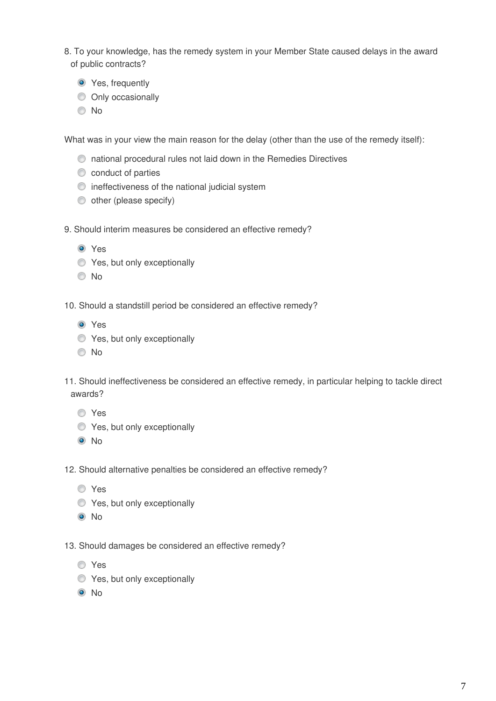- 8. To your knowledge, has the remedy system in your Member State caused delays in the award of public contracts?
	- **O** Yes, frequently
	- O Only occasionally
	- No

What was in your view the main reason for the delay (other than the use of the remedy itself):

- national procedural rules not laid down in the Remedies Directives
- conduct of parties
- $\bullet$  ineffectiveness of the national judicial system
- $\bullet$  other (please specify)
- 9. Should interim measures be considered an effective remedy?
	- **O** Yes
	- $\bullet$  Yes, but only exceptionally
	- No
- 10. Should a standstill period be considered an effective remedy?
	- **O** Yes
	- **Yes, but only exceptionally**
	- © No
- 11. Should ineffectiveness be considered an effective remedy, in particular helping to tackle direct awards?
	- Yes
	- **Yes, but only exceptionally**
	- <sup>O</sup>No
- 12. Should alternative penalties be considered an effective remedy?
	- Yes
	- **Yes, but only exceptionally**
	- <sup>O</sup>No
- 13. Should damages be considered an effective remedy?
	- Yes
	- $\bullet$  Yes, but only exceptionally
	- <sup>O</sup>No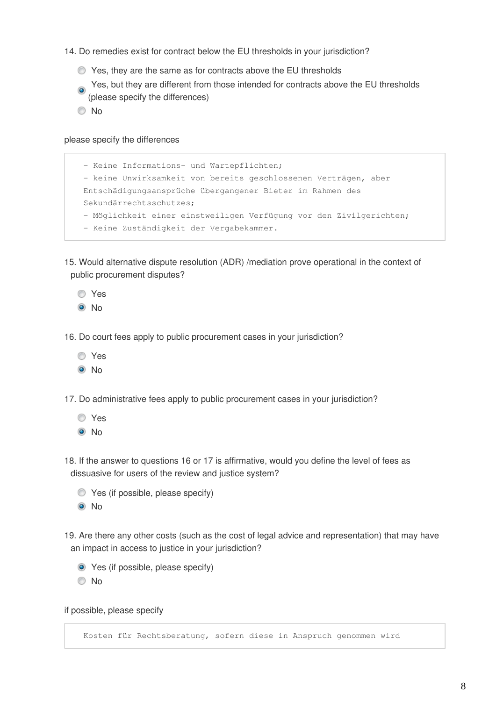- 14. Do remedies exist for contract below the EU thresholds in your jurisdiction?
	- Yes, they are the same as for contracts above the EU thresholds
	- Yes, but they are different from those intended for contracts above the EU thresholds (please specify the differences)
	- No

#### please specify the differences

```
- Keine Informations- und Wartepflichten; 
- keine Unwirksamkeit von bereits geschlossenen Verträgen, aber
Entschädigungsansprüche übergangener Bieter im Rahmen des
Sekundärrechtsschutzes; 
- Möglichkeit einer einstweiligen Verfügung vor den Zivilgerichten;
- Keine Zuständigkeit der Vergabekammer.
```
- 15. Would alternative dispute resolution (ADR) /mediation prove operational in the context of public procurement disputes?
	- Yes
	- $\odot$  No
- 16. Do court fees apply to public procurement cases in your jurisdiction?
	- Yes
	- <sup>O</sup>No
- 17. Do administrative fees apply to public procurement cases in your jurisdiction?
	- Yes
	- <sup>O</sup>No
- 18. If the answer to questions 16 or 17 is affirmative, would you define the level of fees as dissuasive for users of the review and justice system?
	- $\bullet$  Yes (if possible, please specify) <sup>O</sup>No
- 19. Are there any other costs (such as the cost of legal advice and representation) that may have an impact in access to justice in your jurisdiction?
	- Yes (if possible, please specify)
	- No

if possible, please specify

Kosten für Rechtsberatung, sofern diese in Anspruch genommen wird